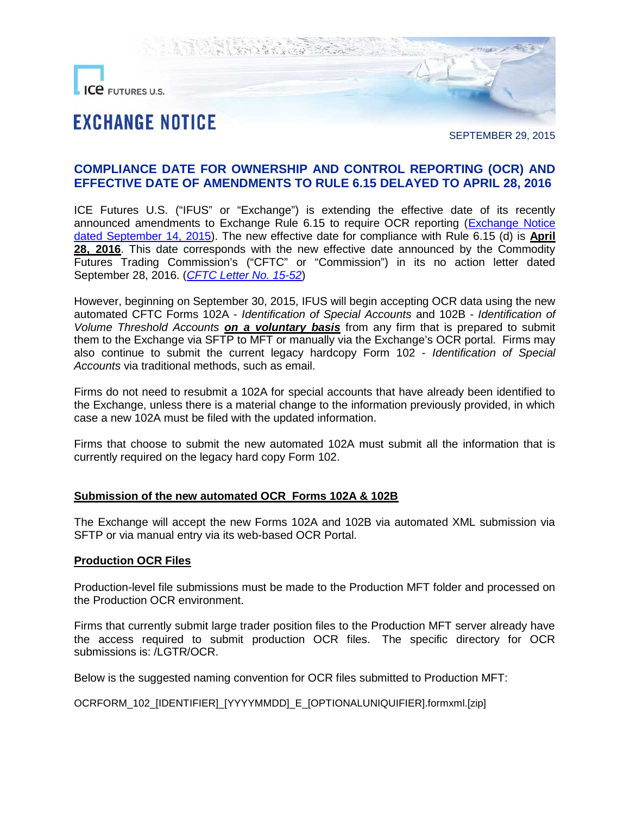

SEPTEMBER 29, 2015

# **COMPLIANCE DATE FOR OWNERSHIP AND CONTROL REPORTING (OCR) AND EFFECTIVE DATE OF AMENDMENTS TO RULE 6.15 DELAYED TO APRIL 28, 2016**

ICE Futures U.S. ("IFUS" or "Exchange") is extending the effective date of its recently announced amendments to Exchange Rule 6.15 to require OCR reporting([Exchange Notice](https://www.theice.com/publicdocs/futures_us/exchange_notices/OCR_Rules09142015.pdf) [dated September 14, 2015](https://www.theice.com/publicdocs/futures_us/exchange_notices/OCR_Rules09142015.pdf)). The new effective date for compliance with Rule 6.15 (d) is **April** 28, 2016. This date corresponds with the new effective date announced by the Commodity Futures Trading Commission's ("CFTC" or "Commission") in its no action letter dated September 28, 2016. (*[CFTC Letter](http://www.cftc.gov/idc/groups/public/@lrlettergeneral/documents/letter/15-52.pdf) No. 15-52*)

However, beginning on September 30, 2015, IFUS will begin accepting OCR data using the new automated CFTC Forms 102A - *Identification of Special Accounts* and 102B - *Identification of Volume Threshold Accounts on a voluntary basis* from any firm that is prepared to submit them to the Exchange via SFTP to MFT or manually via the Exchange's OCR portal. Firms may also continue to submit the current legacy hardcopy Form 102 - *Identification of Special Accounts* via traditional methods, such as email.

Firms do not need to resubmit a 102A for special accounts that have already been identified to the Exchange, unless there is a material change to the information previously provided, in which case a new 102A must be filed with the updated information.

Firms that choose to submit the new automated 102A must submit all the information that is currently required on the legacy hard copy Form 102.

### **Submission of the new automated OCR Forms 102A & 102B**

The Exchange will accept the new Forms 102A and 102B via automated XML submission via SFTP or via manual entry via its web-based OCR Portal.

### **Production OCR Files**

Production-level file submissions must be made to the Production MFT folder and processed on the Production OCR environment.

Firms that currently submit large trader position files to the Production MFT server already have the access required to submit production OCR files. The specific directory for OCR submissions is: /LGTR/OCR.

Below is the suggested naming convention for OCR files submitted to Production MFT:

OCRFORM\_102\_[IDENTIFIER]\_[YYYYMMDD]\_E\_[OPTIONALUNIQUIFIER].formxml.[zip]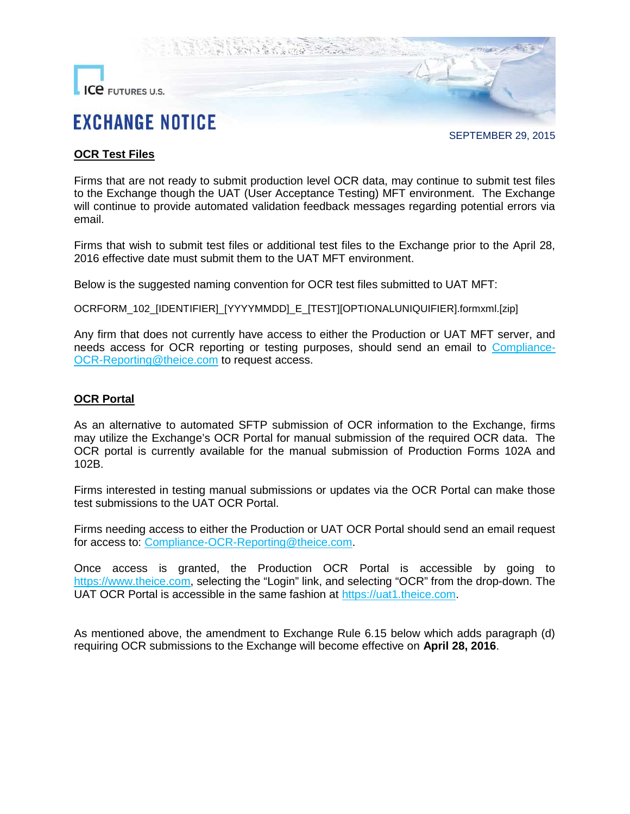

SEPTEMBER 29, 2015

## **OCR Test Files**

Firms that are not ready to submit production level OCR data, may continue to submit test files to the Exchange though the UAT (User Acceptance Testing) MFT environment. The Exchange will continue to provide automated validation feedback messages regarding potential errors via email.

Firms that wish to submit test files or additional test files to the Exchange prior to the April 28, 2016 effective date must submit them to the UAT MFT environment.

Below is the suggested naming convention for OCR test files submitted to UAT MFT:

OCRFORM\_102\_[IDENTIFIER]\_[YYYYMMDD]\_E\_[TEST][OPTIONALUNIQUIFIER].formxml.[zip]

Any firm that does not currently have access to either the Production or UAT MFT server, and needs access for OCR reporting or testing purposes, should send an email to [Compliance-](mailto:Compliance-OCR-Reporting@theice.com)[OCR-Reporting@theice.com](mailto:Compliance-OCR-Reporting@theice.com) to request access.

### **OCR Portal**

As an alternative to automated SFTP submission of OCR information to the Exchange, firms may utilize the Exchange's OCR Portal for manual submission of the required OCR data. The OCR portal is currently available for the manual submission of Production Forms 102A and 102B.

Firms interested in testing manual submissions or updates via the OCR Portal can make those test submissions to the UAT OCR Portal.

Firms needing access to either the Production or UAT OCR Portal should send an email request for access to: [Compliance-OCR-Reporting@theice.com](mailto:Compliance-OCR-Reporting@theice.com).

Once access is granted, the Production OCR Portal is accessible by going to [https://www.theice.com](https://www.theice.com/), selecting the "Login" link, and selecting "OCR" from the drop-down. The UAT OCR Portal is accessible in the same fashion at [https://uat1.theice.com](https://uat1.theice.com/).

As mentioned above, the amendment to Exchange Rule 6.15 below which adds paragraph (d) requiring OCR submissions to the Exchange will become effective on **April 28, 2016**.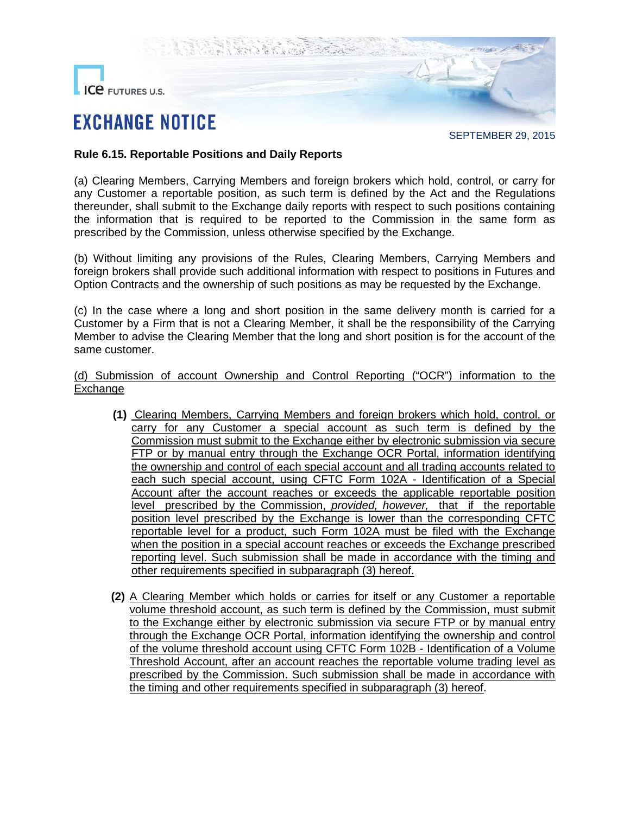

SEPTEMBER 29, 2015

### **Rule 6.15. Reportable Positions and Daily Reports**

(a) Clearing Members, Carrying Members and foreign brokers which hold, control, or carry for any Customer a reportable position, as such term is defined by the Act and the Regulations thereunder, shall submit to the Exchange daily reports with respect to such positions containing the information that is required to be reported to the Commission in the same form as prescribed by the Commission, unless otherwise specified by the Exchange.

(b) Without limiting any provisions of the Rules, Clearing Members, Carrying Members and foreign brokers shall provide such additional information with respect to positions in Futures and Option Contracts and the ownership of such positions as may be requested by the Exchange.

(c) In the case where a long and short position in the same delivery month is carried for a Customer by a Firm that is not a Clearing Member, it shall be the responsibility of the Carrying Member to advise the Clearing Member that the long and short position is for the account of the same customer.

(d) Submission of account Ownership and Control Reporting ("OCR") information to the Exchange

- **(1)** Clearing Members, Carrying Members and foreign brokers which hold, control, or carry for any Customer a special account as such term is defined by the Commission must submit to the Exchange either by electronic submission via secure FTP or by manual entry through the Exchange OCR Portal, information identifying the ownership and control of each special account and all trading accounts related to each such special account, using CFTC Form 102A - Identification of a Special Account after the account reaches or exceeds the applicable reportable position level prescribed by the Commission, *provided, however,* that if the reportable position level prescribed by the Exchange is lower than the corresponding CFTC reportable level for a product, such Form 102A must be filed with the Exchange when the position in a special account reaches or exceeds the Exchange prescribed reporting level. Such submission shall be made in accordance with the timing and other requirements specified in subparagraph (3) hereof.
- **(2)** A Clearing Member which holds or carries for itself or any Customer a reportable volume threshold account, as such term is defined by the Commission, must submit to the Exchange either by electronic submission via secure FTP or by manual entry through the Exchange OCR Portal, information identifying the ownership and control of the volume threshold account using CFTC Form 102B - Identification of a Volume Threshold Account, after an account reaches the reportable volume trading level as prescribed by the Commission. Such submission shall be made in accordance with the timing and other requirements specified in subparagraph (3) hereof.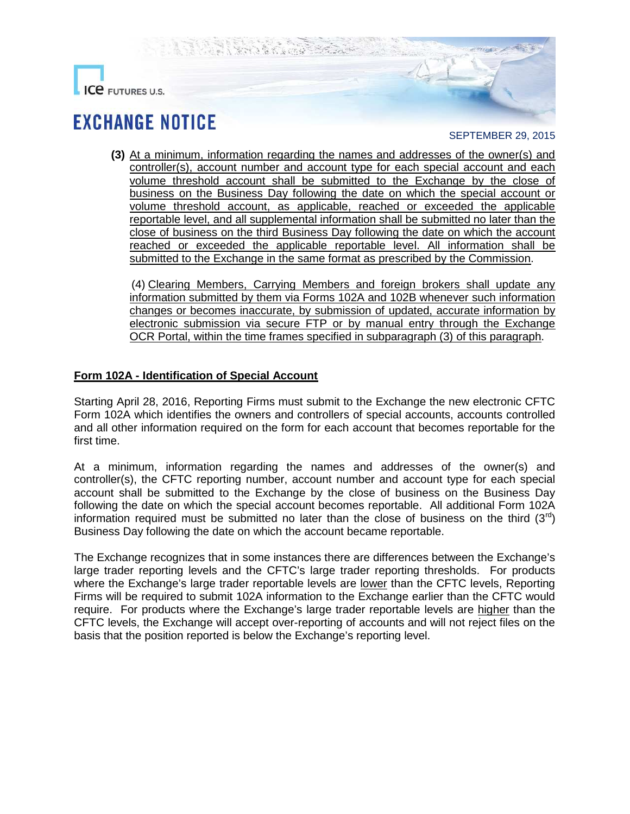

### SEPTEMBER 29, 2015

**(3)** At a minimum, information regarding the names and addresses of the owner(s) and controller(s), account number and account type for each special account and each volume threshold account shall be submitted to the Exchange by the close of business on the Business Day following the date on which the special account or volume threshold account, as applicable, reached or exceeded the applicable reportable level, and all supplemental information shall be submitted no later than the close of business on the third Business Day following the date on which the account reached or exceeded the applicable reportable level. All information shall be submitted to the Exchange in the same format as prescribed by the Commission.

(4) Clearing Members, Carrying Members and foreign brokers shall update any information submitted by them via Forms 102A and 102B whenever such information changes or becomes inaccurate, by submission of updated, accurate information by electronic submission via secure FTP or by manual entry through the Exchange OCR Portal, within the time frames specified in subparagraph (3) of this paragraph.

## **Form 102A - Identification of Special Account**

Starting April 28, 2016, Reporting Firms must submit to the Exchange the new electronic CFTC Form 102A which identifies the owners and controllers of special accounts, accounts controlled and all other information required on the form for each account that becomes reportable for the first time.

At a minimum, information regarding the names and addresses of the owner(s) and controller(s), the CFTC reporting number, account number and account type for each special account shall be submitted to the Exchange by the close of business on the Business Day following the date on which the special account becomes reportable. All additional Form 102A information required must be submitted no later than the close of business on the third  $(3^{rq})$ Business Day following the date on which the account became reportable.

The Exchange recognizes that in some instances there are differences between the Exchange's large trader reporting levels and the CFTC's large trader reporting thresholds. For products where the Exchange's large trader reportable levels are lower than the CFTC levels, Reporting Firms will be required to submit 102A information to the Exchange earlier than the CFTC would require. For products where the Exchange's large trader reportable levels are higher than the CFTC levels, the Exchange will accept over-reporting of accounts and will not reject files on the basis that the position reported is below the Exchange's reporting level.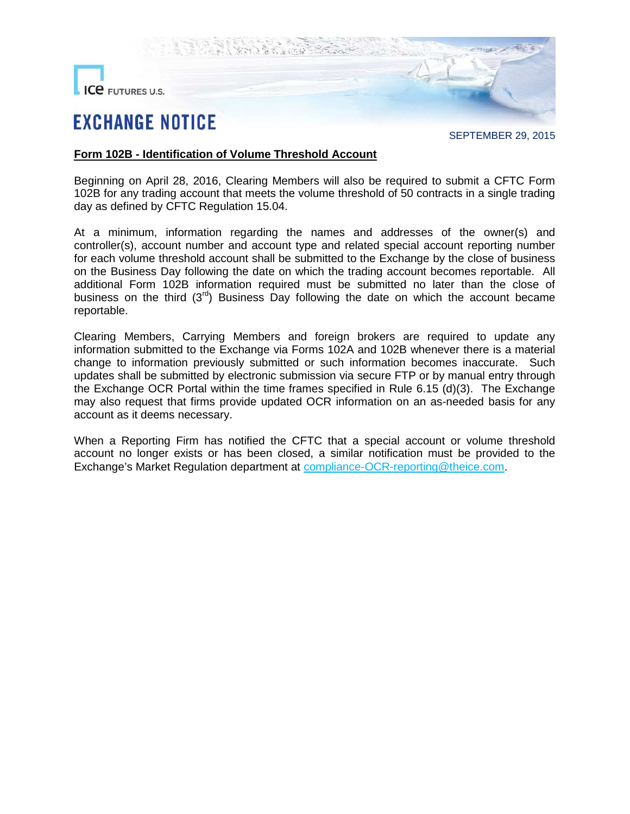

SEPTEMBER 29, 2015

### **Form 102B - Identification of Volume Threshold Account**

Beginning on April 28, 2016, Clearing Members will also be required to submit a CFTC Form 102B for any trading account that meets the volume threshold of 50 contracts in a single trading day as defined by CFTC Regulation 15.04.

At a minimum, information regarding the names and addresses of the owner(s) and controller(s), account number and account type and related special account reporting number for each volume threshold account shall be submitted to the Exchange by the close of business on the Business Day following the date on which the trading account becomes reportable. All additional Form 102B information required must be submitted no later than the close of business on the third  $(3<sup>rd</sup>)$  Business Day following the date on which the account became reportable.

Clearing Members, Carrying Members and foreign brokers are required to update any information submitted to the Exchange via Forms 102A and 102B whenever there is a material change to information previously submitted or such information becomes inaccurate. Such updates shall be submitted by electronic submission via secure FTP or by manual entry through the Exchange OCR Portal within the time frames specified in Rule 6.15 (d)(3). The Exchange may also request that firms provide updated OCR information on an as-needed basis for any account as it deems necessary.

When a Reporting Firm has notified the CFTC that a special account or volume threshold account no longer exists or has been closed, a similar notification must be provided to the Exchange's Market Regulation department at [compliance-OCR-reporting@theice.com](mailto:compliance-OCR-reporting@theice.com).